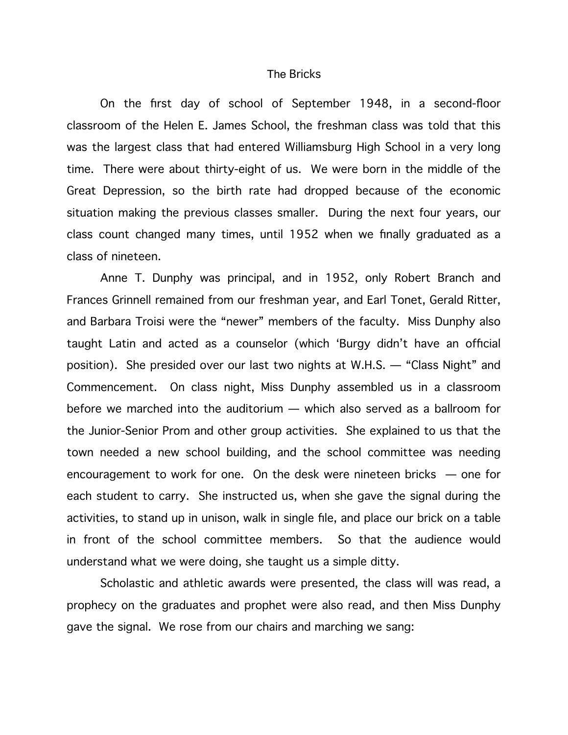## The Bricks

On the first day of school of September 1948, in a second-floor classroom of the Helen E. James School, the freshman class was told that this was the largest class that had entered Williamsburg High School in a very long time. There were about thirty-eight of us. We were born in the middle of the Great Depression, so the birth rate had dropped because of the economic situation making the previous classes smaller. During the next four years, our class count changed many times, until 1952 when we finally graduated as a class of nineteen.

Anne T. Dunphy was principal, and in 1952, only Robert Branch and Frances Grinnell remained from our freshman year, and Earl Tonet, Gerald Ritter, and Barbara Troisi were the "newer" members of the faculty. Miss Dunphy also taught Latin and acted as a counselor (which 'Burgy didn't have an official position). She presided over our last two nights at W.H.S. — "Class Night" and Commencement. On class night, Miss Dunphy assembled us in a classroom before we marched into the auditorium — which also served as a ballroom for the Junior-Senior Prom and other group activities. She explained to us that the town needed a new school building, and the school committee was needing encouragement to work for one. On the desk were nineteen bricks — one for each student to carry. She instructed us, when she gave the signal during the activities, to stand up in unison, walk in single file, and place our brick on a table in front of the school committee members. So that the audience would understand what we were doing, she taught us a simple ditty.

Scholastic and athletic awards were presented, the class will was read, a prophecy on the graduates and prophet were also read, and then Miss Dunphy gave the signal. We rose from our chairs and marching we sang: